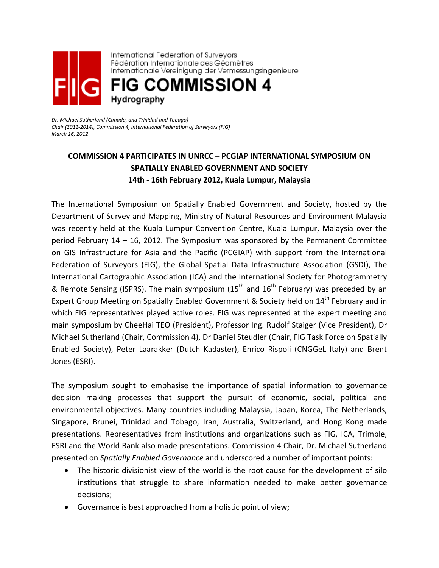

International Federation of Surveyors Fédération Internationale des Géomètres Internationale Vereinigung der Vermessungsingenieure



*Dr. Michael Sutherland (Canada, and Trinidad and Tobago) Chair (2011-2014), Commission 4, International Federation of Surveyors (FIG) March 16, 2012*

## **COMMISSION 4 PARTICIPATES IN UNRCC – PCGIAP INTERNATIONAL SYMPOSIUM ON SPATIALLY ENABLED GOVERNMENT AND SOCIETY 14th - 16th February 2012, Kuala Lumpur, Malaysia**

The International Symposium on Spatially Enabled Government and Society, hosted by the Department of Survey and Mapping, Ministry of Natural Resources and Environment Malaysia was recently held at the Kuala Lumpur Convention Centre, Kuala Lumpur, Malaysia over the period February 14 – 16, 2012. The Symposium was sponsored by the Permanent Committee on GIS Infrastructure for Asia and the Pacific (PCGIAP) with support from the International Federation of Surveyors (FIG), the Global Spatial Data Infrastructure Association (GSDI), The International Cartographic Association (ICA) and the International Society for Photogrammetry & Remote Sensing (ISPRS). The main symposium ( $15<sup>th</sup>$  and  $16<sup>th</sup>$  February) was preceded by an Expert Group Meeting on Spatially Enabled Government & Society held on 14<sup>th</sup> February and in which FIG representatives played active roles. FIG was represented at the expert meeting and main symposium by CheeHai TEO (President), Professor Ing. Rudolf Staiger (Vice President), Dr Michael Sutherland (Chair, Commission 4), Dr Daniel Steudler (Chair, FIG Task Force on Spatially Enabled Society), Peter Laarakker (Dutch Kadaster), Enrico Rispoli (CNGGeL Italy) and Brent Jones (ESRI).

The symposium sought to emphasise the importance of spatial information to governance decision making processes that support the pursuit of economic, social, political and environmental objectives. Many countries including Malaysia, Japan, Korea, The Netherlands, Singapore, Brunei, Trinidad and Tobago, Iran, Australia, Switzerland, and Hong Kong made presentations. Representatives from institutions and organizations such as FIG, ICA, Trimble, ESRI and the World Bank also made presentations. Commission 4 Chair, Dr. Michael Sutherland presented on *Spatially Enabled Governance* and underscored a number of important points:

- The historic divisionist view of the world is the root cause for the development of silo institutions that struggle to share information needed to make better governance decisions;
- Governance is best approached from a holistic point of view;